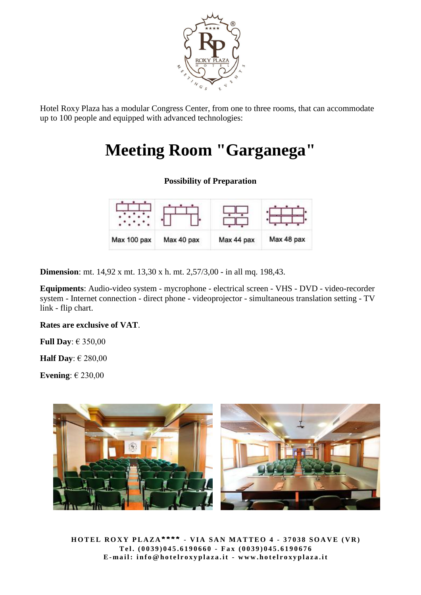

Hotel Roxy Plaza has a modular Congress Center, from one to three rooms, that can accommodate up to 100 people and equipped with advanced technologies:

### **Meeting Room "Garganega"**

#### **Possibility of Preparation**

| Max 100 pax | Max 40 pax | Max 44 pax | Max 48 pax |
|-------------|------------|------------|------------|

**Dimension**: mt. 14,92 x mt. 13,30 x h. mt. 2,57/3,00 - in all mq. 198,43.

**Equipments**: Audio-video system - mycrophone - electrical screen - VHS - DVD - video-recorder system - Internet connection - direct phone - videoprojector - simultaneous translation setting - TV link - flip chart.

#### **Rates are exclusive of VAT**.

**Full Day**: € 350,00

**Half Day**: € 280,00

**Evening**: € 230,00



**H O T E L R O X Y P L A Z A \* \* \* \*** - **V I A S A N M A T T E O 4 - 3 7 0 3 8 S O A V E ( V R ) Te l . ( 0 0 3 9 ) 0 4 5 . 6 1 9 0 6 6 0 - Fa x ( 0 0 3 9 ) 0 4 5 . 6 1 9 0 6 7 6** E-mail: info@hotelroxyplaza.it - www.hotelroxyplaza.it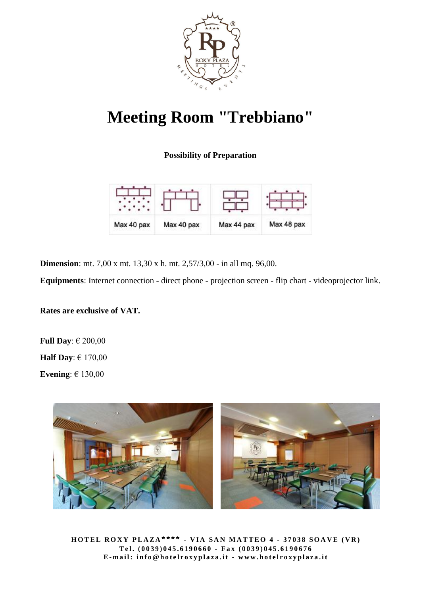

# **Meeting Room "Trebbiano"**

**Possibility of Preparation**

| Max 40 pax | Max 40 pax | Max 44 pax | Max 48 pax |
|------------|------------|------------|------------|

**Dimension**: mt. 7,00 x mt. 13,30 x h. mt. 2,57/3,00 - in all mq. 96,00.

**Equipments**: Internet connection - direct phone - projection screen - flip chart - videoprojector link.

**Rates are exclusive of VAT.**

**Full Day**: € 200,00 **Half Day**: € 170,00 **Evening**: € 130,00



**HOTEL ROXY PLAZA\*\*\*\*** - VIA SAN MATTEO 4 - 37038 SOAVE (VR) **Te l . ( 0 0 3 9 ) 0 4 5 . 6 1 9 0 6 6 0 - Fa x ( 0 0 3 9 ) 0 4 5 . 6 1 9 0 6 7 6** E-mail: info@hotelroxyplaza.it - www.hotelroxyplaza.it